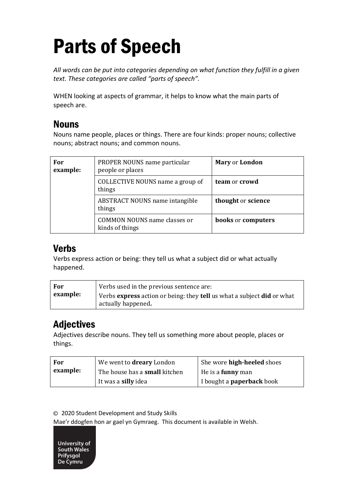# Parts of Speech

*All words can be put into categories depending on what function they fulfill in a given text. These categories are called "parts of speech".* 

WHEN looking at aspects of grammar, it helps to know what the main parts of speech are.

#### Nouns

Nouns name people, places or things. There are four kinds: proper nouns; collective nouns; abstract nouns; and common nouns.

| For<br>example: | PROPER NOUNS name particular<br>people or places       | <b>Mary or London</b>            |
|-----------------|--------------------------------------------------------|----------------------------------|
|                 | COLLECTIVE NOUNS name a group of<br>things             | team or crowd                    |
|                 | <b>ABSTRACT NOUNS name intangible</b><br>things        | thought or science               |
|                 | <b>COMMON NOUNS name classes or</b><br>kinds of things | <b>books</b> or <b>computers</b> |

#### Verbs

Verbs express action or being: they tell us what a subject did or what actually happened.

| For      | Verbs used in the previous sentence are:                                                                          |
|----------|-------------------------------------------------------------------------------------------------------------------|
| example: | Verbs <b>express</b> action or being: they <b>tell</b> us what a subject <b>did</b> or what<br>actually happened. |

# Adjectives

Adjectives describe nouns. They tell us something more about people, places or things.

| For      | We went to <b>dreary</b> London      | She wore <b>high-heeled</b> shoes |
|----------|--------------------------------------|-----------------------------------|
| example: | The house has a <b>small</b> kitchen | He is a <b>funny</b> man          |
|          | It was a <b>silly</b> idea           | I bought a <b>paperback</b> book  |

© 2020 Student Development and Study Skills

Mae'r ddogfen hon ar gael yn Gymraeg. This document is available in Welsh.

University of South Wales Prifysgol De Cymru